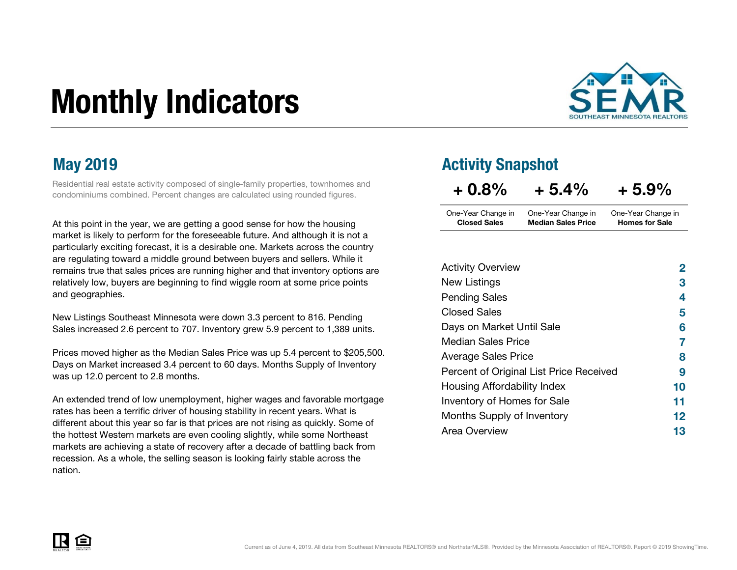# Monthly Indicators



Residential real estate activity composed of single-family properties, townhomes and condominiums combined. Percent changes are calculated using rounded figures.

At this point in the year, we are getting a good sense for how the housing market is likely to perform for the foreseeable future. And although it is not a particularly exciting forecast, it is a desirable one. Markets across the country are regulating toward a middle ground between buyers and sellers. While it remains true that sales prices are running higher and that inventory options are relatively low, buyers are beginning to find wiggle room at some price points and geographies.

New Listings Southeast Minnesota were down 3.3 percent to 816. Pending Sales increased 2.6 percent to 707. Inventory grew 5.9 percent to 1,389 units.

Prices moved higher as the Median Sales Price was up 5.4 percent to \$205,500. Days on Market increased 3.4 percent to 60 days. Months Supply of Inventory was up 12.0 percent to 2.8 months.

An extended trend of low unemployment, higher wages and favorable mortgage rates has been a terrific driver of housing stability in recent years. What is different about this year so far is that prices are not rising as quickly. Some of the hottest Western markets are even cooling slightly, while some Northeast markets are achieving a state of recovery after a decade of battling back from recession. As a whole, the selling season is looking fairly stable across the nation.

### May 2019 **May 2019 Activity Snapshot**

| $+0.8%$             | $+5.4%$                   | $+5.9%$               |
|---------------------|---------------------------|-----------------------|
| One-Year Change in  | One-Year Change in        | One-Year Change in    |
| <b>Closed Sales</b> | <b>Median Sales Price</b> | <b>Homes for Sale</b> |

| <b>Activity Overview</b>                | 2  |
|-----------------------------------------|----|
| New Listings                            | 3  |
| <b>Pending Sales</b>                    | 4  |
| <b>Closed Sales</b>                     | 5  |
| Days on Market Until Sale               | 6  |
| <b>Median Sales Price</b>               | 7  |
| <b>Average Sales Price</b>              | 8  |
| Percent of Original List Price Received | 9  |
| Housing Affordability Index             | 10 |
| Inventory of Homes for Sale             | 11 |
| Months Supply of Inventory              | 12 |
| Area Overview                           | 13 |

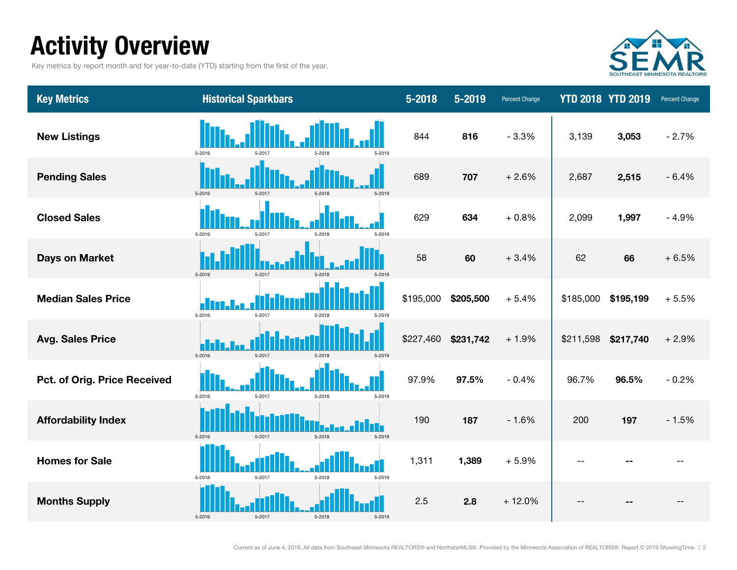### Activity Overview

Key metrics by report month and for year-to-date (YTD) starting from the first of the year.



| <b>Key Metrics</b>           | <b>Historical Sparkbars</b>              | 5-2018                 | 5-2019<br><b>Percent Change</b> |           | <b>YTD 2018 YTD 2019</b> | Percent Change |
|------------------------------|------------------------------------------|------------------------|---------------------------------|-----------|--------------------------|----------------|
| <b>New Listings</b>          | 5-2016<br>5-2019<br>5-2018<br>5-2017     | 844                    | 816<br>$-3.3%$                  | 3,139     | 3,053                    | $-2.7%$        |
| <b>Pending Sales</b>         | 5-2016<br>5-2019<br>5-2017<br>$5 - 2018$ | 689                    | 707<br>$+2.6%$                  | 2,687     | 2,515                    | $-6.4%$        |
| <b>Closed Sales</b>          | 5-2016<br>5-2017<br>5-2018<br>5-2019     | 629                    | 634<br>$+0.8%$                  | 2,099     | 1,997                    | $-4.9%$        |
| Days on Market               | 5-2016<br>5-2017<br>$5 - 2018$<br>5-2019 | 58                     | 60<br>$+3.4%$                   | 62        | 66                       | $+6.5%$        |
| <b>Median Sales Price</b>    | 5-2016<br>$5 - 2017$<br>5-2018<br>5-2019 | \$195,000              | \$205,500<br>$+5.4%$            | \$185,000 | \$195,199                | $+5.5%$        |
| <b>Avg. Sales Price</b>      | 5-2016<br>5-2017<br>$5 - 2018$<br>5-2019 | \$227,460<br>\$231,742 | $+1.9%$                         | \$211,598 | \$217,740                | $+2.9%$        |
| Pct. of Orig. Price Received | 5-2016<br>5-2017<br>5-2018<br>5-2019     | 97.9%<br>97.5%         | $-0.4%$                         | 96.7%     | 96.5%                    | $-0.2%$        |
| <b>Affordability Index</b>   | 5-2016<br>5-2017<br>5-2018<br>5-2019     | 190                    | $-1.6%$<br>187                  | 200       | 197                      | $-1.5%$        |
| <b>Homes for Sale</b>        | 5-2016<br>5-2017<br>5-2018<br>5-2019     | 1,311                  | 1,389<br>$+5.9%$                | н.        |                          |                |
| <b>Months Supply</b>         | 5-2016<br>$5 - 2018$<br>5-2017<br>5-2019 | 2.5                    | 2.8<br>$+12.0%$                 |           |                          |                |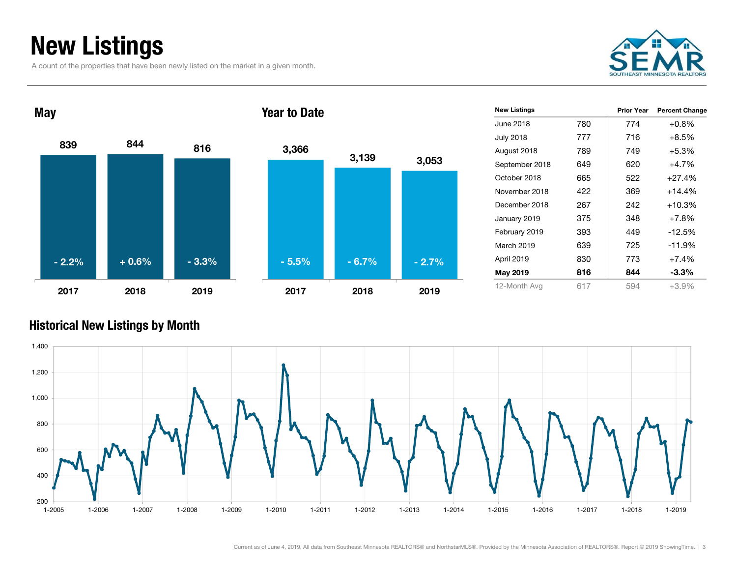### New Listings

A count of the properties that have been newly listed on the market in a given month.





| <b>New Listings</b> |     | <b>Prior Year</b> | <b>Percent Change</b> |
|---------------------|-----|-------------------|-----------------------|
| June 2018           | 780 | 774               | $+0.8\%$              |
| <b>July 2018</b>    | 777 | 716               | $+8.5%$               |
| August 2018         | 789 | 749               | $+5.3%$               |
| September 2018      | 649 | 620               | $+4.7%$               |
| October 2018        | 665 | 522               | $+27.4%$              |
| November 2018       | 422 | 369               | $+14.4%$              |
| December 2018       | 267 | 242               | $+10.3%$              |
| January 2019        | 375 | 348               | $+7.8%$               |
| February 2019       | 393 | 449               | $-12.5%$              |
| March 2019          | 639 | 725               | $-11.9%$              |
| April 2019          | 830 | 773               | $+7.4%$               |
| May 2019            | 816 | 844               | $-3.3\%$              |
| 12-Month Avg        | 617 | 594               | $+3.9%$               |

#### Historical New Listings by Month

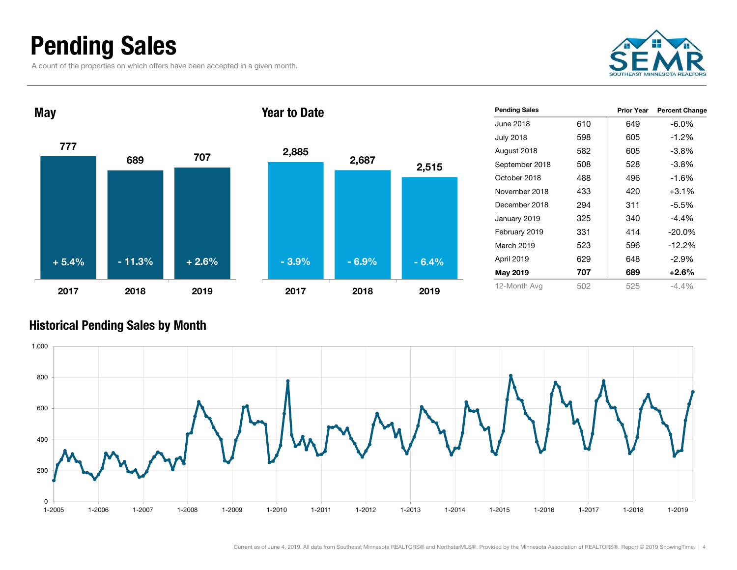### Pending Sales

A count of the properties on which offers have been accepted in a given month.





|     | Prior Year | <b>Percent Change</b> |
|-----|------------|-----------------------|
| 610 | 649        | $-6.0\%$              |
| 598 | 605        | $-1.2\%$              |
| 582 | 605        | $-3.8\%$              |
| 508 | 528        | $-3.8\%$              |
| 488 | 496        | $-1.6%$               |
| 433 | 420        | $+3.1\%$              |
| 294 | 311        | $-5.5\%$              |
| 325 | 340        | $-4.4%$               |
| 331 | 414        | $-20.0\%$             |
| 523 | 596        | $-12.2%$              |
| 629 | 648        | $-2.9\%$              |
| 707 | 689        | $+2.6\%$              |
| 502 | 525        | $-4.4%$               |
|     |            |                       |

#### Historical Pending Sales by Month

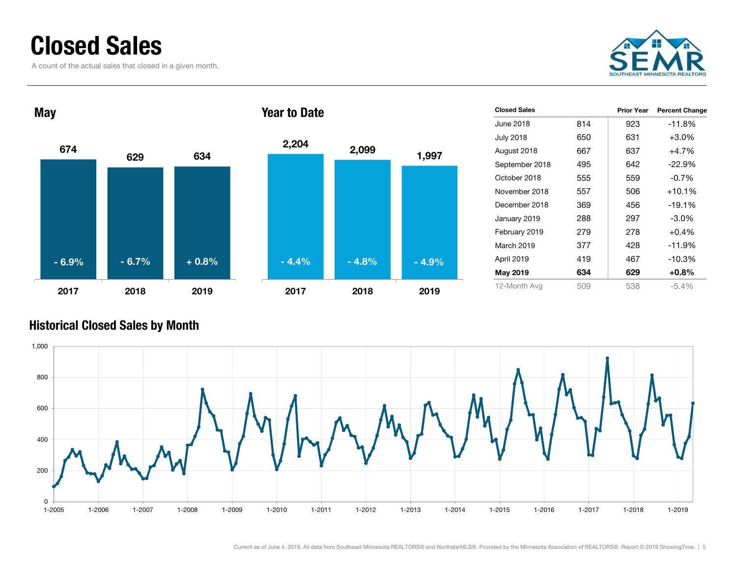### Closed Sales

A count of the actual sales that closed in a given month.





| <b>Closed Sales</b> |     | Prior Year | <b>Percent Change</b> |
|---------------------|-----|------------|-----------------------|
| June 2018           | 814 | 923        | $-11.8%$              |
| <b>July 2018</b>    | 650 | 631        | $+3.0%$               |
| August 2018         | 667 | 637        | $+4.7%$               |
| September 2018      | 495 | 642        | $-22.9%$              |
| October 2018        | 555 | 559        | $-0.7%$               |
| November 2018       | 557 | 506        | $+10.1%$              |
| December 2018       | 369 | 456        | $-19.1%$              |
| January 2019        | 288 | 297        | $-3.0\%$              |
| February 2019       | 279 | 278        | $+0.4%$               |
| March 2019          | 377 | 428        | $-11.9\%$             |
| April 2019          | 419 | 467        | $-10.3%$              |
| May 2019            | 634 | 629        | $+0.8%$               |
| 12-Month Avg        | 509 | 538        | $-5.4%$               |

#### Historical Closed Sales by Month

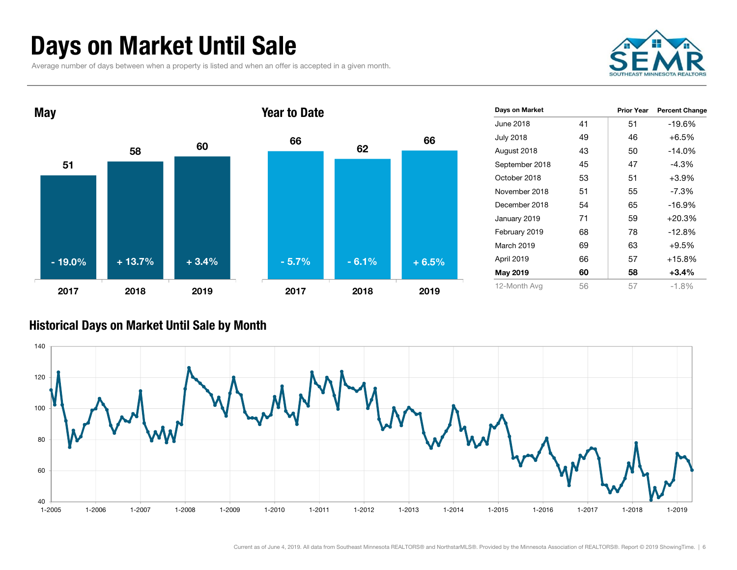### Days on Market Until Sale

Average number of days between when a property is listed and when an offer is accepted in a given month.





| Days on Market   |    | <b>Prior Year</b> | <b>Percent Change</b> |
|------------------|----|-------------------|-----------------------|
| June 2018        | 41 | 51                | $-19.6%$              |
| <b>July 2018</b> | 49 | 46                | $+6.5%$               |
| August 2018      | 43 | 50                | $-14.0%$              |
| September 2018   | 45 | 47                | $-4.3%$               |
| October 2018     | 53 | 51                | $+3.9%$               |
| November 2018    | 51 | 55                | $-7.3%$               |
| December 2018    | 54 | 65                | $-16.9%$              |
| January 2019     | 71 | 59                | $+20.3%$              |
| February 2019    | 68 | 78                | $-12.8%$              |
| March 2019       | 69 | 63                | $+9.5%$               |
| April 2019       | 66 | 57                | $+15.8%$              |
| May 2019         | 60 | 58                | $+3.4%$               |
| 12-Month Avg     | 56 | 57                | $-1.8%$               |

#### Historical Days on Market Until Sale by Month

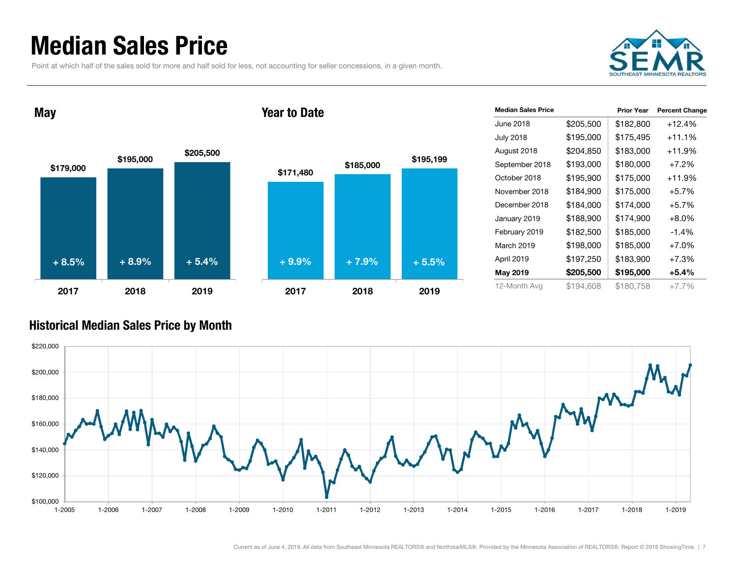### Median Sales Price

Point at which half of the sales sold for more and half sold for less, not accounting for seller concessions, in a given month.



May





| <b>Median Sales Price</b> |           | <b>Prior Year</b> | <b>Percent Change</b> |
|---------------------------|-----------|-------------------|-----------------------|
| June 2018                 | \$205,500 | \$182,800         | $+12.4%$              |
| <b>July 2018</b>          | \$195,000 | \$175,495         | +11.1%                |
| August 2018               | \$204,850 | \$183,000         | $+11.9%$              |
| September 2018            | \$193,000 | \$180,000         | $+7.2%$               |
| October 2018              | \$195,900 | \$175,000         | +11.9%                |
| November 2018             | \$184,900 | \$175,000         | $+5.7%$               |
| December 2018             | \$184,000 | \$174,000         | $+5.7%$               |
| January 2019              | \$188,900 | \$174,900         | $+8.0\%$              |
| February 2019             | \$182,500 | \$185,000         | $-1.4\%$              |
| March 2019                | \$198,000 | \$185,000         | $+7.0%$               |
| April 2019                | \$197,250 | \$183,900         | $+7.3%$               |
| May 2019                  | \$205,500 | \$195,000         | $+5.4%$               |
| 12-Month Avg              | \$194.608 | \$180,758         | +7.7%                 |

#### Historical Median Sales Price by Month

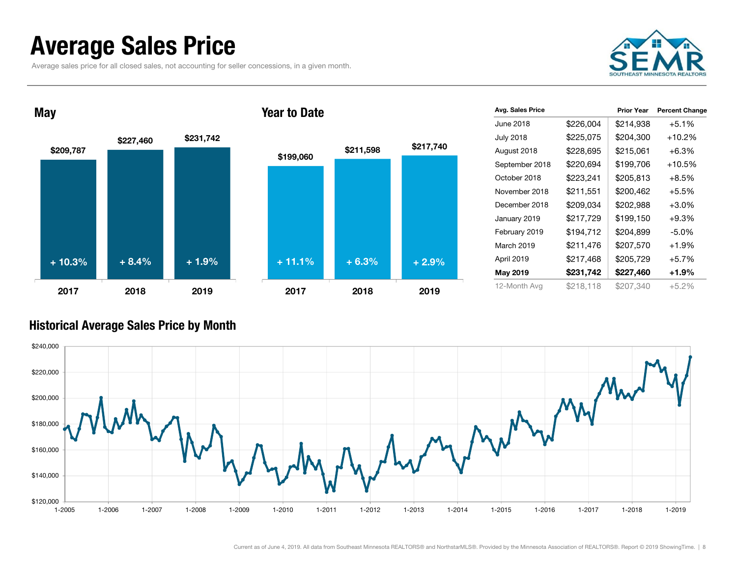### Average Sales Price

May

Average sales price for all closed sales, not accounting for seller concessions, in a given month.





| \$199,060 | \$211,598 | \$217,740 |
|-----------|-----------|-----------|
|           |           |           |
|           |           |           |
|           |           |           |
|           |           |           |
| $+11.1%$  | $+6.3%$   | $+2.9%$   |
| 2017      | 2018      | 2019      |

Year to Date

| Avg. Sales Price |           | <b>Prior Year</b> | <b>Percent Change</b> |
|------------------|-----------|-------------------|-----------------------|
| June 2018        | \$226,004 | \$214,938         | $+5.1%$               |
| <b>July 2018</b> | \$225,075 | \$204,300         | +10.2%                |
| August 2018      | \$228,695 | \$215,061         | $+6.3%$               |
| September 2018   | \$220,694 | \$199,706         | $+10.5%$              |
| October 2018     | \$223,241 | \$205,813         | $+8.5%$               |
| November 2018    | \$211,551 | \$200,462         | $+5.5%$               |
| December 2018    | \$209,034 | \$202,988         | $+3.0%$               |
| January 2019     | \$217,729 | \$199,150         | $+9.3%$               |
| February 2019    | \$194,712 | \$204,899         | $-5.0%$               |
| March 2019       | \$211,476 | \$207,570         | $+1.9%$               |
| April 2019       | \$217,468 | \$205,729         | $+5.7%$               |
| May 2019         | \$231,742 | \$227,460         | +1.9%                 |
| 12-Month Avg     | \$218,118 | \$207,340         | $+5.2%$               |

#### Historical Average Sales Price by Month

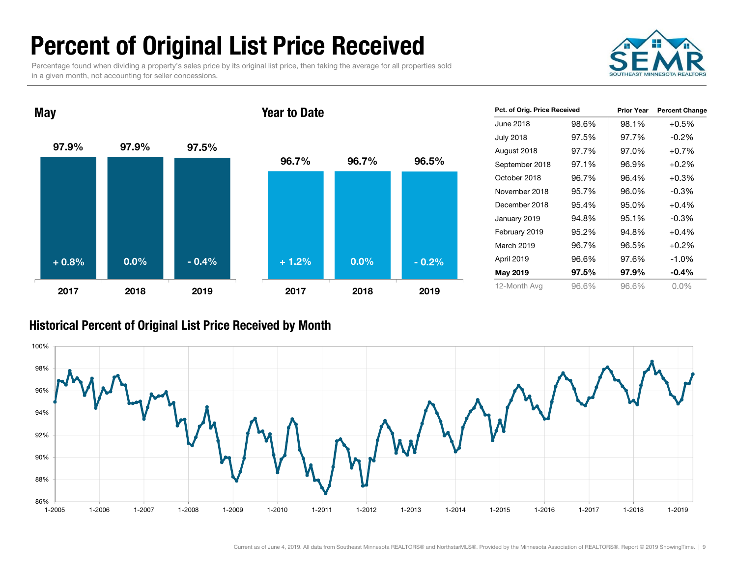### Percent of Original List Price Received

Percentage found when dividing a property's sales price by its original list price, then taking the average for all properties sold in a given month, not accounting for seller concessions.



97.9% 97.9% 97.5%2017 2018 2019May 96.7% 96.7% 96.5%2017 2018 2019Year to Date+ 0.8% $\%$  0.0% - 0.4% + 1.2% 0.0% - 0.2%

| Pct. of Orig. Price Received |       | <b>Prior Year</b> | <b>Percent Change</b> |
|------------------------------|-------|-------------------|-----------------------|
| June 2018                    | 98.6% | 98.1%             | $+0.5%$               |
| <b>July 2018</b>             | 97.5% | 97.7%             | $-0.2\%$              |
| August 2018                  | 97.7% | 97.0%             | $+0.7\%$              |
| September 2018               | 97.1% | 96.9%             | $+0.2%$               |
| October 2018                 | 96.7% | 96.4%             | $+0.3%$               |
| November 2018                | 95.7% | 96.0%             | $-0.3\%$              |
| December 2018                | 95.4% | 95.0%             | $+0.4%$               |
| January 2019                 | 94.8% | 95.1%             | $-0.3\%$              |
| February 2019                | 95.2% | 94.8%             | $+0.4%$               |
| March 2019                   | 96.7% | 96.5%             | $+0.2%$               |
| April 2019                   | 96.6% | 97.6%             | $-1.0\%$              |
| May 2019                     | 97.5% | 97.9%             | $-0.4%$               |
| 12-Month Avg                 | 96.6% | 96.6%             | $0.0\%$               |

#### Historical Percent of Original List Price Received by Month

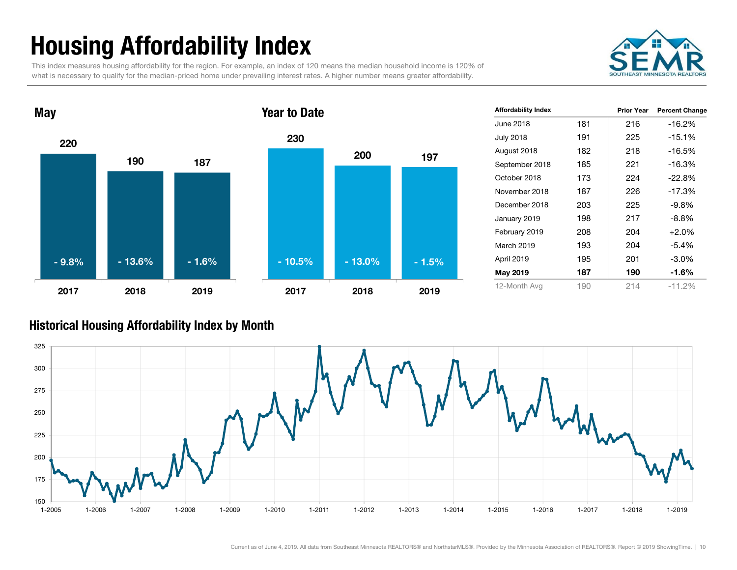## Housing Affordability Index

This index measures housing affordability for the region. For example, an index of 120 means the median household income is 120% of what is necessary to qualify for the median-priced home under prevailing interest rates. A higher number means greater affordability.





| <b>Affordability Index</b> |     | Prior Year | <b>Percent Change</b> |
|----------------------------|-----|------------|-----------------------|
| June 2018                  | 181 | 216        | $-16.2%$              |
| <b>July 2018</b>           | 191 | 225        | $-15.1%$              |
| August 2018                | 182 | 218        | $-16.5%$              |
| September 2018             | 185 | 221        | $-16.3%$              |
| October 2018               | 173 | 224        | $-22.8%$              |
| November 2018              | 187 | 226        | $-17.3%$              |
| December 2018              | 203 | 225        | $-9.8\%$              |
| January 2019               | 198 | 217        | $-8.8\%$              |
| February 2019              | 208 | 204        | $+2.0%$               |
| March 2019                 | 193 | 204        | $-5.4%$               |
| April 2019                 | 195 | 201        | $-3.0\%$              |
| May 2019                   | 187 | 190        | $-1.6%$               |
| 12-Month Avg               | 190 | 214        | $-11.2%$              |

#### Historical Housing Affordability Index by Mont h

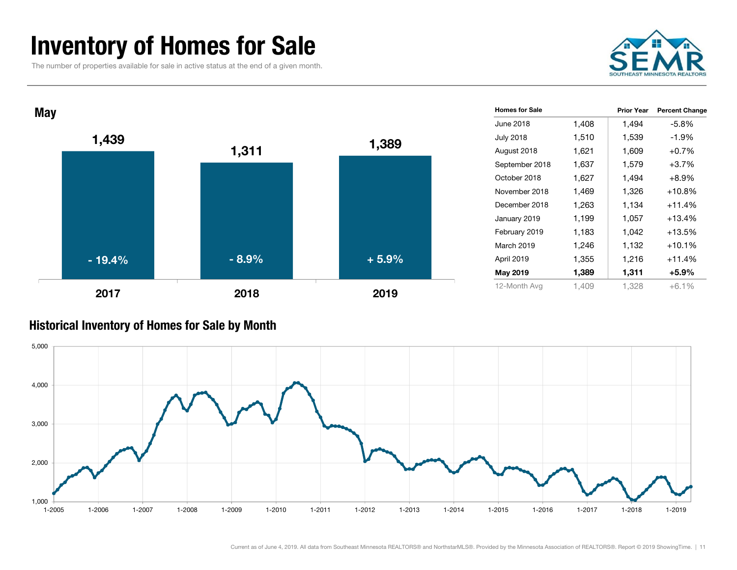### Inventory of Homes for Sale

The number of properties available for sale in active status at the end of a given month.





#### Historical Inventory of Homes for Sale by Month

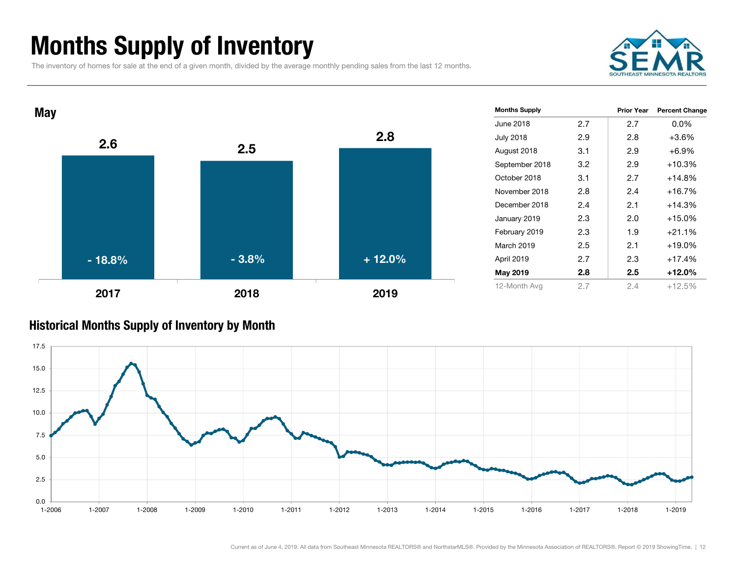### Months Supply of Inventory

The inventory of homes for sale at the end of a given month, divided by the average monthly pending sales from the last 12 months.





#### Historical Months Supply of Inventory by Month